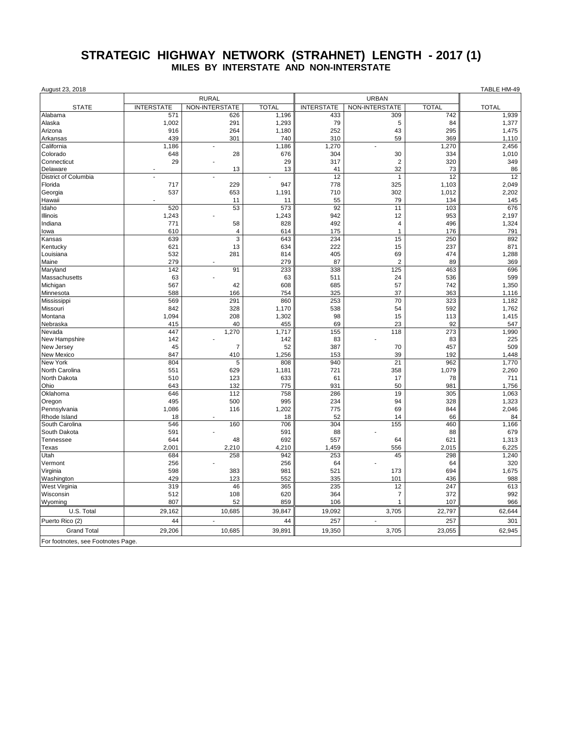## **STRATEGIC HIGHWAY NETWORK (STRAHNET) LENGTH - 2017 (1) MILES BY INTERSTATE AND NON-INTERSTATE**

| August 23, 2018                    |                   |                |              |                   |                |              | TABLE HM-49  |
|------------------------------------|-------------------|----------------|--------------|-------------------|----------------|--------------|--------------|
|                                    | <b>RURAL</b>      |                |              | <b>URBAN</b>      |                |              |              |
| <b>STATE</b>                       | <b>INTERSTATE</b> | NON-INTERSTATE | <b>TOTAL</b> | <b>INTERSTATE</b> | NON-INTERSTATE | <b>TOTAL</b> | <b>TOTAL</b> |
| Alabama                            | 571               | 626            | 1,196        | 433               | 309            | 742          | 1,939        |
| Alaska                             | 1,002             | 291            | 1,293        | 79                | 5              | 84           | 1,377        |
| Arizona                            | 916               | 264            | 1,180        | 252               | 43             | 295          | 1,475        |
| Arkansas                           | 439               | 301            | 740          | 310               | 59             | 369          | 1,110        |
| California                         | 1.186             | $\sim$         | 1,186        | 1,270             |                | 1,270        | 2,456        |
| Colorado                           | 648               | 28             | 676          | 304               | 30             | 334          | 1,010        |
| Connecticut                        | 29                |                | 29           | 317               | $\sqrt{2}$     | 320          | 349          |
| Delaware                           |                   | 13             | 13           | 41                | 32             | 73           | 86           |
| District of Columbia               |                   | ÷.             |              | 12                | $\mathbf{1}$   | 12           | 12           |
| Florida                            | 717               | 229            | 947          | 778               | 325            | 1,103        | 2,049        |
| Georgia                            | 537               | 653            | 1,191        | 710               | 302            | 1,012        | 2,202        |
| Hawaii                             |                   | 11             | 11           | 55                | 79             | 134          | 145          |
| Idaho                              | 520               | 53             | 573          | 92                | 11             | 103          | 676          |
| Illinois                           | 1,243             |                | 1,243        | 942               | 12             | 953          | 2,197        |
| Indiana                            | 771               | 58             | 828          | 492               | $\overline{4}$ | 496          | 1,324        |
| lowa                               | 610               | 4              | 614          | 175               | $\mathbf{1}$   | 176          | 791          |
| Kansas                             | 639               | 3              | 643          | 234               | 15             | 250          | 892          |
| Kentucky                           | 621               | 13             | 634          | 222               | 15             | 237          | 871          |
| Louisiana                          | 532               | 281            | 814          | 405               | 69             | 474          | 1,288        |
| Maine                              | 279               |                | 279          | 87                | $\overline{2}$ | 89           | 369          |
| Maryland                           | 142               | 91             | 233          | 338               | 125            | 463          | 696          |
| Massachusetts                      | 63                |                | 63           | 511               | 24             | 536          | 599          |
| Michigan                           | 567               | 42             | 608          | 685               | 57             | 742          | 1,350        |
| Minnesota                          | 588               | 166            | 754          | 325               | 37             | 363          | 1,116        |
| Mississippi                        | 569               | 291            | 860          | 253               | 70             | 323          | 1,182        |
| Missouri                           | 842               | 328            | 1,170        | 538               | 54             | 592          | 1,762        |
| Montana                            | 1,094             | 208            | 1,302<br>455 | 98<br>69          | 15             | 113          | 1,415        |
| Nebraska<br>Nevada                 | 415<br>447        | 40<br>1,270    | 1,717        | 155               | 23<br>118      | 92<br>273    | 547<br>1,990 |
| New Hampshire                      | 142               |                | 142          | 83                |                | 83           | 225          |
| New Jersey                         | 45                | $\overline{7}$ | 52           | 387               | 70             | 457          | 509          |
| New Mexico                         | 847               | 410            | 1,256        | 153               | 39             | 192          | 1,448        |
| <b>New York</b>                    | 804               | 5              | 808          | 940               | 21             | 962          | 1,770        |
| North Carolina                     | 551               | 629            | 1,181        | 721               | 358            | 1,079        | 2,260        |
| North Dakota                       | 510               | 123            | 633          | 61                | 17             | 78           | 711          |
| Ohio                               | 643               | 132            | 775          | 931               | 50             | 981          | 1,756        |
| Oklahoma                           | 646               | 112            | 758          | 286               | 19             | 305          | 1,063        |
| Oregon                             | 495               | 500            | 995          | 234               | 94             | 328          | 1,323        |
| Pennsylvania                       | 1,086             | 116            | 1,202        | 775               | 69             | 844          | 2,046        |
| Rhode Island                       | 18                |                | 18           | 52                | 14             | 66           | 84           |
| South Carolina                     | 546               | 160            | 706          | 304               | 155            | 460          | 1,166        |
| South Dakota                       | 591               |                | 591          | 88                |                | 88           | 679          |
| Tennessee                          | 644               | 48             | 692          | 557               | 64             | 621          | 1,313        |
| Texas                              | 2.001             | 2,210          | 4,210        | 1,459             | 556            | 2,015        | 6,225        |
| Utah                               | 684               | 258            | 942          | 253               | 45             | 298          | 1,240        |
| Vermont                            | 256               |                | 256          | 64                |                | 64           | 320          |
| Virginia                           | 598               | 383            | 981          | 521               | 173            | 694          | 1,675        |
| Washington                         | 429               | 123            | 552          | 335               | 101            | 436          | 988          |
| West Virginia                      | 319               | 46             | 365          | 235               | 12             | 247          | 613          |
| Wisconsin                          | 512               | 108            | 620          | 364               | $\overline{7}$ | 372          | 992          |
| Wyoming                            | 807               | 52             | 859          | 106               | $\mathbf{1}$   | 107          | 966          |
| U.S. Total                         | 29,162            | 10,685         | 39,847       | 19,092            | 3,705          | 22,797       | 62,644       |
| Puerto Rico (2)                    | 44                |                | 44           | 257               | ÷,             | 257          | 301          |
| <b>Grand Total</b>                 | 29,206            | 10,685         | 39,891       | 19,350            | 3,705          | 23,055       | 62,945       |
| For footnotes, see Footnotes Page. |                   |                |              |                   |                |              |              |